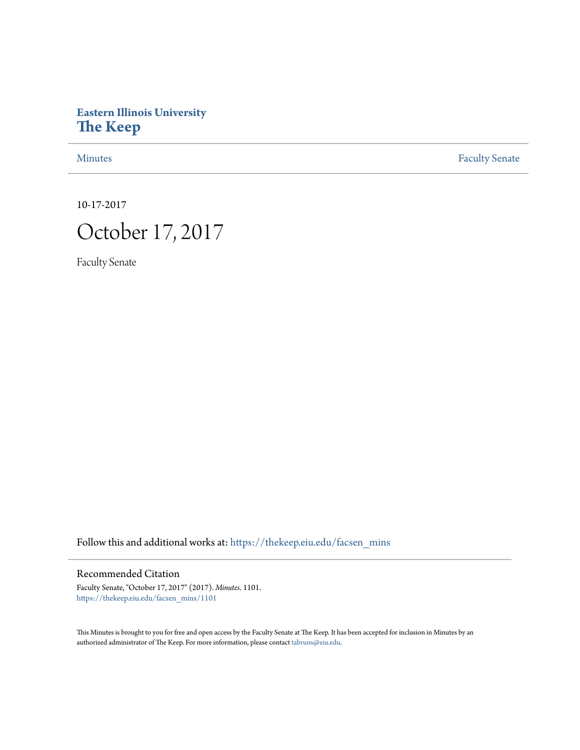# **Eastern Illinois University [The Keep](https://thekeep.eiu.edu?utm_source=thekeep.eiu.edu%2Ffacsen_mins%2F1101&utm_medium=PDF&utm_campaign=PDFCoverPages)**

[Minutes](https://thekeep.eiu.edu/facsen_mins?utm_source=thekeep.eiu.edu%2Ffacsen_mins%2F1101&utm_medium=PDF&utm_campaign=PDFCoverPages) **[Faculty Senate](https://thekeep.eiu.edu/fac_senate?utm_source=thekeep.eiu.edu%2Ffacsen_mins%2F1101&utm_medium=PDF&utm_campaign=PDFCoverPages)** 

10-17-2017



Faculty Senate

Follow this and additional works at: [https://thekeep.eiu.edu/facsen\\_mins](https://thekeep.eiu.edu/facsen_mins?utm_source=thekeep.eiu.edu%2Ffacsen_mins%2F1101&utm_medium=PDF&utm_campaign=PDFCoverPages)

## Recommended Citation

Faculty Senate, "October 17, 2017" (2017). *Minutes*. 1101. [https://thekeep.eiu.edu/facsen\\_mins/1101](https://thekeep.eiu.edu/facsen_mins/1101?utm_source=thekeep.eiu.edu%2Ffacsen_mins%2F1101&utm_medium=PDF&utm_campaign=PDFCoverPages)

This Minutes is brought to you for free and open access by the Faculty Senate at The Keep. It has been accepted for inclusion in Minutes by an authorized administrator of The Keep. For more information, please contact [tabruns@eiu.edu](mailto:tabruns@eiu.edu).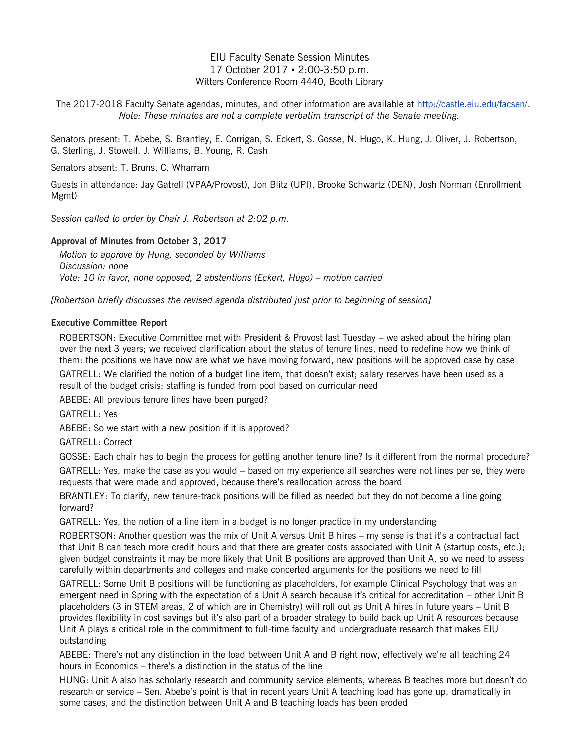EIU Faculty Senate Session Minutes 17 October 2017 ▪ 2:00-3:50 p.m. Witters Conference Room 4440, Booth Library

The 2017-2018 Faculty Senate agendas, minutes, and other information are available at [http://castle.eiu.edu/facsen/.](http://castle.eiu.edu/facsen/) *Note: These minutes are not a complete verbatim transcript of the Senate meeting.*

Senators present: T. Abebe, S. Brantley, E. Corrigan, S. Eckert, S. Gosse, N. Hugo, K. Hung, J. Oliver, J. Robertson, G. Sterling, J. Stowell, J. Williams, B. Young, R. Cash

Senators absent: T. Bruns, C. Wharram

Guests in attendance: Jay Gatrell (VPAA/Provost), Jon Blitz (UPI), Brooke Schwartz (DEN), Josh Norman (Enrollment Mgmt)

*Session called to order by Chair J. Robertson at 2:02 p.m.*

### **Approval of Minutes from October 3, 2017**

*Motion to approve by Hung, seconded by Williams Discussion: none Vote: 10 in favor, none opposed, 2 abstentions (Eckert, Hugo) – motion carried*

*[Robertson briefly discusses the revised agenda distributed just prior to beginning of session]*

#### **Executive Committee Report**

ROBERTSON: Executive Committee met with President & Provost last Tuesday – we asked about the hiring plan over the next 3 years; we received clarification about the status of tenure lines, need to redefine how we think of them: the positions we have now are what we have moving forward, new positions will be approved case by case

GATRELL: We clarified the notion of a budget line item, that doesn't exist; salary reserves have been used as a result of the budget crisis; staffing is funded from pool based on curricular need

ABEBE: All previous tenure lines have been purged?

GATRELL: Yes

ABEBE: So we start with a new position if it is approved?

GATRELL: Correct

GOSSE: Each chair has to begin the process for getting another tenure line? Is it different from the normal procedure?

GATRELL: Yes, make the case as you would – based on my experience all searches were not lines per se, they were requests that were made and approved, because there's reallocation across the board

BRANTLEY: To clarify, new tenure-track positions will be filled as needed but they do not become a line going forward?

GATRELL: Yes, the notion of a line item in a budget is no longer practice in my understanding

ROBERTSON: Another question was the mix of Unit A versus Unit B hires – my sense is that it's a contractual fact that Unit B can teach more credit hours and that there are greater costs associated with Unit A (startup costs, etc.); given budget constraints it may be more likely that Unit B positions are approved than Unit A, so we need to assess carefully within departments and colleges and make concerted arguments for the positions we need to fill

GATRELL: Some Unit B positions will be functioning as placeholders, for example Clinical Psychology that was an emergent need in Spring with the expectation of a Unit A search because it's critical for accreditation – other Unit B placeholders (3 in STEM areas, 2 of which are in Chemistry) will roll out as Unit A hires in future years – Unit B provides flexibility in cost savings but it's also part of a broader strategy to build back up Unit A resources because Unit A plays a critical role in the commitment to full-time faculty and undergraduate research that makes EIU outstanding

ABEBE: There's not any distinction in the load between Unit A and B right now, effectively we're all teaching 24 hours in Economics – there's a distinction in the status of the line

HUNG: Unit A also has scholarly research and community service elements, whereas B teaches more but doesn't do research or service – Sen. Abebe's point is that in recent years Unit A teaching load has gone up, dramatically in some cases, and the distinction between Unit A and B teaching loads has been eroded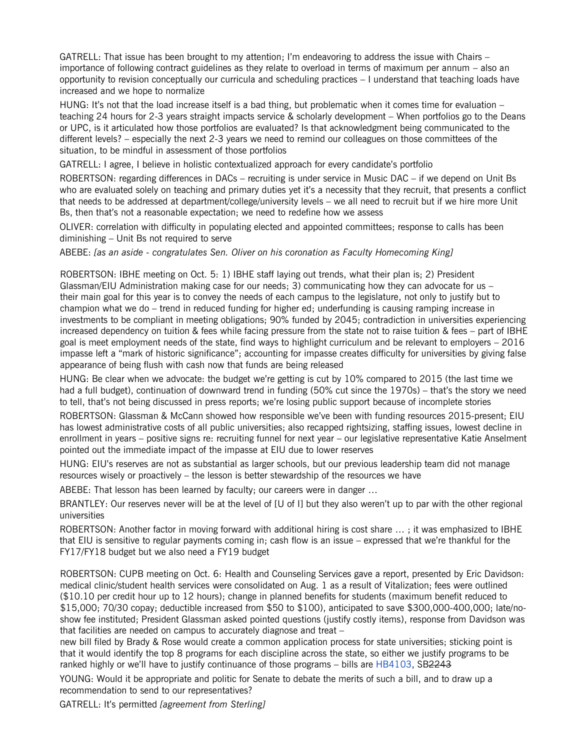GATRELL: That issue has been brought to my attention; I'm endeavoring to address the issue with Chairs – importance of following contract guidelines as they relate to overload in terms of maximum per annum – also an opportunity to revision conceptually our curricula and scheduling practices – I understand that teaching loads have increased and we hope to normalize

HUNG: It's not that the load increase itself is a bad thing, but problematic when it comes time for evaluation – teaching 24 hours for 2-3 years straight impacts service & scholarly development – When portfolios go to the Deans or UPC, is it articulated how those portfolios are evaluated? Is that acknowledgment being communicated to the different levels? – especially the next 2-3 years we need to remind our colleagues on those committees of the situation, to be mindful in assessment of those portfolios

GATRELL: I agree, I believe in holistic contextualized approach for every candidate's portfolio

ROBERTSON: regarding differences in DACs – recruiting is under service in Music DAC – if we depend on Unit Bs who are evaluated solely on teaching and primary duties yet it's a necessity that they recruit, that presents a conflict that needs to be addressed at department/college/university levels – we all need to recruit but if we hire more Unit Bs, then that's not a reasonable expectation; we need to redefine how we assess

OLIVER: correlation with difficulty in populating elected and appointed committees; response to calls has been diminishing – Unit Bs not required to serve

ABEBE: *[as an aside - congratulates Sen. Oliver on his coronation as Faculty Homecoming King]*

ROBERTSON: IBHE meeting on Oct. 5: 1) IBHE staff laying out trends, what their plan is; 2) President Glassman/EIU Administration making case for our needs; 3) communicating how they can advocate for us their main goal for this year is to convey the needs of each campus to the legislature, not only to justify but to champion what we do – trend in reduced funding for higher ed; underfunding is causing ramping increase in investments to be compliant in meeting obligations; 90% funded by 2045; contradiction in universities experiencing increased dependency on tuition & fees while facing pressure from the state not to raise tuition & fees – part of IBHE goal is meet employment needs of the state, find ways to highlight curriculum and be relevant to employers – 2016 impasse left a "mark of historic significance"; accounting for impasse creates difficulty for universities by giving false appearance of being flush with cash now that funds are being released

HUNG: Be clear when we advocate: the budget we're getting is cut by 10% compared to 2015 (the last time we had a full budget), continuation of downward trend in funding (50% cut since the 1970s) – that's the story we need to tell, that's not being discussed in press reports; we're losing public support because of incomplete stories

ROBERTSON: Glassman & McCann showed how responsible we've been with funding resources 2015-present; EIU has lowest administrative costs of all public universities; also recapped rightsizing, staffing issues, lowest decline in enrollment in years – positive signs re: recruiting funnel for next year – our legislative representative Katie Anselment pointed out the immediate impact of the impasse at EIU due to lower reserves

HUNG: EIU's reserves are not as substantial as larger schools, but our previous leadership team did not manage resources wisely or proactively – the lesson is better stewardship of the resources we have

ABEBE: That lesson has been learned by faculty; our careers were in danger …

BRANTLEY: Our reserves never will be at the level of [U of I] but they also weren't up to par with the other regional universities

ROBERTSON: Another factor in moving forward with additional hiring is cost share … ; it was emphasized to IBHE that EIU is sensitive to regular payments coming in; cash flow is an issue – expressed that we're thankful for the FY17/FY18 budget but we also need a FY19 budget

ROBERTSON: CUPB meeting on Oct. 6: Health and Counseling Services gave a report, presented by Eric Davidson: medical clinic/student health services were consolidated on Aug. 1 as a result of Vitalization; fees were outlined (\$10.10 per credit hour up to 12 hours); change in planned benefits for students (maximum benefit reduced to \$15,000; 70/30 copay; deductible increased from \$50 to \$100), anticipated to save \$300,000-400,000; late/noshow fee instituted; President Glassman asked pointed questions (justify costly items), response from Davidson was that facilities are needed on campus to accurately diagnose and treat –

new bill filed by Brady & Rose would create a common application process for state universities; sticking point is that it would identify the top 8 programs for each discipline across the state, so either we justify programs to be ranked highly or we'll have to justify continuance of those programs – bills are [HB4103,](http://www.ilga.gov/legislation/billstatus.asp?DocNum=4103&GAID=14&GA=100&DocTypeID=HB&LegID=107958&SessionID=91) SB2243

YOUNG: Would it be appropriate and politic for Senate to debate the merits of such a bill, and to draw up a recommendation to send to our representatives?

GATRELL: It's permitted *[agreement from Sterling]*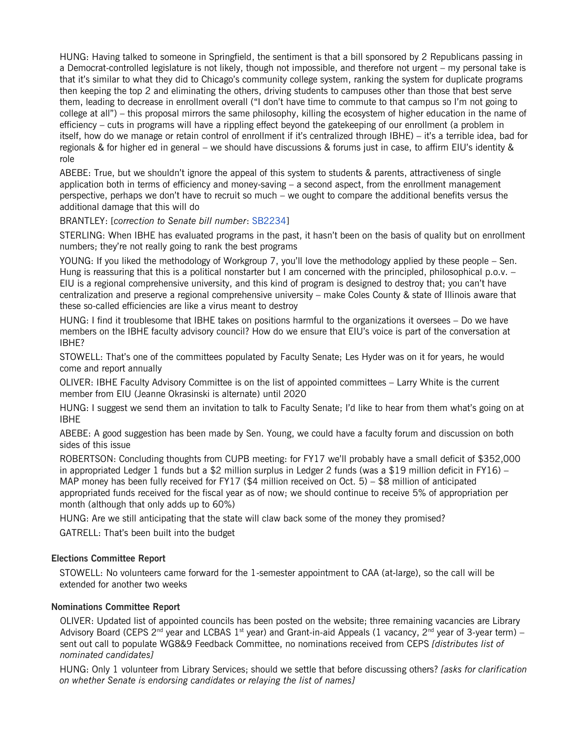HUNG: Having talked to someone in Springfield, the sentiment is that a bill sponsored by 2 Republicans passing in a Democrat-controlled legislature is not likely, though not impossible, and therefore not urgent – my personal take is that it's similar to what they did to Chicago's community college system, ranking the system for duplicate programs then keeping the top 2 and eliminating the others, driving students to campuses other than those that best serve them, leading to decrease in enrollment overall ("I don't have time to commute to that campus so I'm not going to college at all") – this proposal mirrors the same philosophy, killing the ecosystem of higher education in the name of efficiency – cuts in programs will have a rippling effect beyond the gatekeeping of our enrollment (a problem in itself, how do we manage or retain control of enrollment if it's centralized through IBHE) – it's a terrible idea, bad for regionals & for higher ed in general – we should have discussions & forums just in case, to affirm EIU's identity & role

ABEBE: True, but we shouldn't ignore the appeal of this system to students & parents, attractiveness of single application both in terms of efficiency and money-saving – a second aspect, from the enrollment management perspective, perhaps we don't have to recruit so much – we ought to compare the additional benefits versus the additional damage that this will do

## BRANTLEY: [*correction to Senate bill number*: [SB2234\]](http://ilga.gov/legislation/BillStatus.asp?GA=100&DocTypeID=SB&DocNum=2234&GAID=14&SessionID=91&LegID=107954)

STERLING: When IBHE has evaluated programs in the past, it hasn't been on the basis of quality but on enrollment numbers; they're not really going to rank the best programs

YOUNG: If you liked the methodology of Workgroup 7, you'll love the methodology applied by these people – Sen. Hung is reassuring that this is a political nonstarter but I am concerned with the principled, philosophical p.o.v. – EIU is a regional comprehensive university, and this kind of program is designed to destroy that; you can't have centralization and preserve a regional comprehensive university – make Coles County & state of Illinois aware that these so-called efficiencies are like a virus meant to destroy

HUNG: I find it troublesome that IBHE takes on positions harmful to the organizations it oversees – Do we have members on the IBHE faculty advisory council? How do we ensure that EIU's voice is part of the conversation at IBHE?

STOWELL: That's one of the committees populated by Faculty Senate; Les Hyder was on it for years, he would come and report annually

OLIVER: IBHE Faculty Advisory Committee is on the list of appointed committees – Larry White is the current member from EIU (Jeanne Okrasinski is alternate) until 2020

HUNG: I suggest we send them an invitation to talk to Faculty Senate; I'd like to hear from them what's going on at IBHE

ABEBE: A good suggestion has been made by Sen. Young, we could have a faculty forum and discussion on both sides of this issue

ROBERTSON: Concluding thoughts from CUPB meeting: for FY17 we'll probably have a small deficit of \$352,000 in appropriated Ledger 1 funds but a \$2 million surplus in Ledger 2 funds (was a \$19 million deficit in FY16) – MAP money has been fully received for FY17 (\$4 million received on Oct. 5) – \$8 million of anticipated appropriated funds received for the fiscal year as of now; we should continue to receive 5% of appropriation per month (although that only adds up to 60%)

HUNG: Are we still anticipating that the state will claw back some of the money they promised?

GATRELL: That's been built into the budget

## **Elections Committee Report**

STOWELL: No volunteers came forward for the 1-semester appointment to CAA (at-large), so the call will be extended for another two weeks

## **Nominations Committee Report**

OLIVER: Updated list of appointed councils has been posted on the website; three remaining vacancies are Library Advisory Board (CEPS 2<sup>nd</sup> year and LCBAS 1st year) and Grant-in-aid Appeals (1 vacancy, 2<sup>nd</sup> year of 3-year term) – sent out call to populate WG8&9 Feedback Committee, no nominations received from CEPS *[distributes list of nominated candidates]*

HUNG: Only 1 volunteer from Library Services; should we settle that before discussing others? *[asks for clarification on whether Senate is endorsing candidates or relaying the list of names]*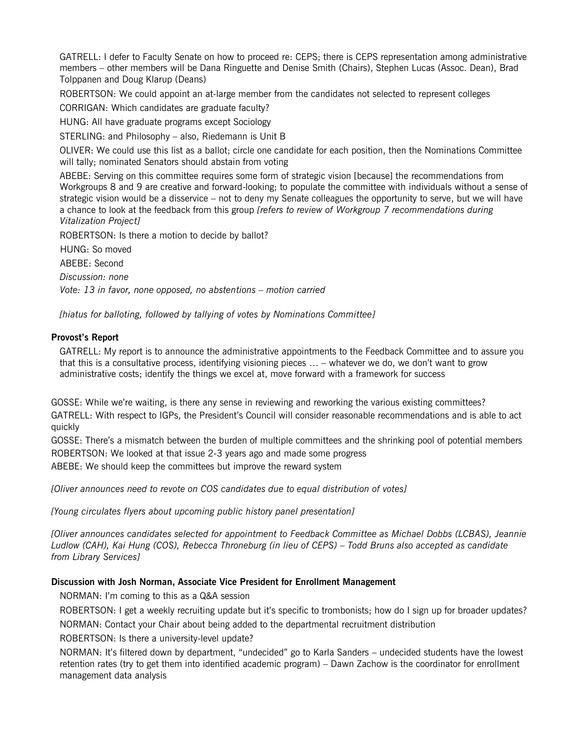GATRELL: I defer to Faculty Senate on how to proceed re: CEPS; there is CEPS representation among administrative members – other members will be Dana Ringuette and Denise Smith (Chairs), Stephen Lucas (Assoc. Dean), Brad Tolppanen and Doug Klarup (Deans)

ROBERTSON: We could appoint an at-large member from the candidates not selected to represent colleges

CORRIGAN: Which candidates are graduate faculty?

HUNG: All have graduate programs except Sociology

STERLING: and Philosophy – also, Riedemann is Unit B

OLIVER: We could use this list as a ballot; circle one candidate for each position, then the Nominations Committee will tally; nominated Senators should abstain from voting

ABEBE: Serving on this committee requires some form of strategic vision [because] the recommendations from Workgroups 8 and 9 are creative and forward-looking; to populate the committee with individuals without a sense of strategic vision would be a disservice – not to deny my Senate colleagues the opportunity to serve, but we will have a chance to look at the feedback from this group *[refers to review of Workgroup 7 recommendations during Vitalization Project]*

ROBERTSON: Is there a motion to decide by ballot?

HUNG: So moved

ABEBE: Second

*Discussion: none*

*Vote: 13 in favor, none opposed, no abstentions – motion carried* 

*[hiatus for balloting, followed by tallying of votes by Nominations Committee]*

## **Provost's Report**

GATRELL: My report is to announce the administrative appointments to the Feedback Committee and to assure you that this is a consultative process, identifying visioning pieces … – whatever we do, we don't want to grow administrative costs; identify the things we excel at, move forward with a framework for success

GOSSE: While we're waiting, is there any sense in reviewing and reworking the various existing committees? GATRELL: With respect to IGPs, the President's Council will consider reasonable recommendations and is able to act quickly

GOSSE: There's a mismatch between the burden of multiple committees and the shrinking pool of potential members ROBERTSON: We looked at that issue 2-3 years ago and made some progress

ABEBE: We should keep the committees but improve the reward system

*[Oliver announces need to revote on COS candidates due to equal distribution of votes]*

*[Young circulates flyers about upcoming public history panel presentation]*

*[Oliver announces candidates selected for appointment to Feedback Committee as Michael Dobbs (LCBAS), Jeannie Ludlow (CAH), Kai Hung (COS), Rebecca Throneburg (in lieu of CEPS) – Todd Bruns also accepted as candidate from Library Services]*

## **Discussion with Josh Norman, Associate Vice President for Enrollment Management**

NORMAN: I'm coming to this as a Q&A session

ROBERTSON: I get a weekly recruiting update but it's specific to trombonists; how do I sign up for broader updates?

NORMAN: Contact your Chair about being added to the departmental recruitment distribution

ROBERTSON: Is there a university-level update?

NORMAN: It's filtered down by department, "undecided" go to Karla Sanders – undecided students have the lowest retention rates (try to get them into identified academic program) – Dawn Zachow is the coordinator for enrollment management data analysis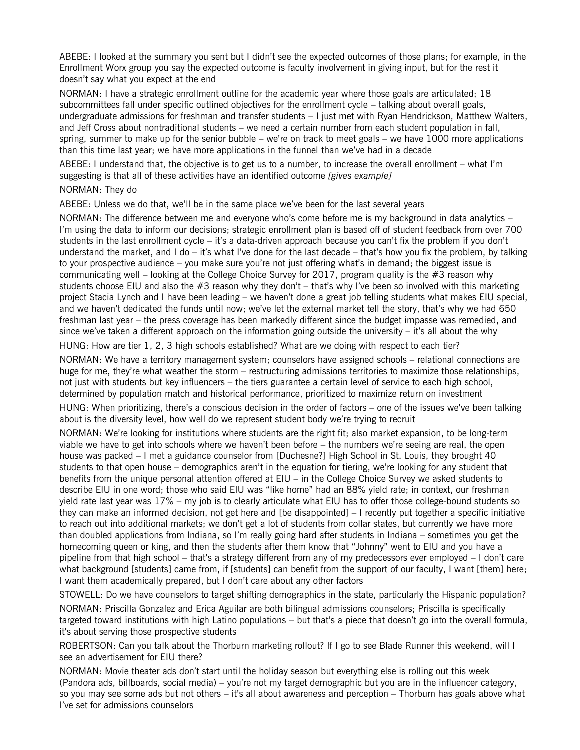ABEBE: I looked at the summary you sent but I didn't see the expected outcomes of those plans; for example, in the Enrollment Worx group you say the expected outcome is faculty involvement in giving input, but for the rest it doesn't say what you expect at the end

NORMAN: I have a strategic enrollment outline for the academic year where those goals are articulated; 18 subcommittees fall under specific outlined objectives for the enrollment cycle – talking about overall goals, undergraduate admissions for freshman and transfer students – I just met with Ryan Hendrickson, Matthew Walters, and Jeff Cross about nontraditional students – we need a certain number from each student population in fall, spring, summer to make up for the senior bubble – we're on track to meet goals – we have 1000 more applications than this time last year; we have more applications in the funnel than we've had in a decade

ABEBE: I understand that, the objective is to get us to a number, to increase the overall enrollment – what I'm suggesting is that all of these activities have an identified outcome *[gives example]*

### NORMAN: They do

ABEBE: Unless we do that, we'll be in the same place we've been for the last several years

NORMAN: The difference between me and everyone who's come before me is my background in data analytics – I'm using the data to inform our decisions; strategic enrollment plan is based off of student feedback from over 700 students in the last enrollment cycle – it's a data-driven approach because you can't fix the problem if you don't understand the market, and I do – it's what I've done for the last decade – that's how you fix the problem, by talking to your prospective audience – you make sure you're not just offering what's in demand; the biggest issue is communicating well – looking at the College Choice Survey for 2017, program quality is the #3 reason why students choose EIU and also the #3 reason why they don't – that's why I've been so involved with this marketing project Stacia Lynch and I have been leading – we haven't done a great job telling students what makes EIU special, and we haven't dedicated the funds until now; we've let the external market tell the story, that's why we had 650 freshman last year – the press coverage has been markedly different since the budget impasse was remedied, and since we've taken a different approach on the information going outside the university  $-$  it's all about the why

HUNG: How are tier 1, 2, 3 high schools established? What are we doing with respect to each tier?

NORMAN: We have a territory management system; counselors have assigned schools – relational connections are huge for me, they're what weather the storm – restructuring admissions territories to maximize those relationships, not just with students but key influencers – the tiers guarantee a certain level of service to each high school, determined by population match and historical performance, prioritized to maximize return on investment

HUNG: When prioritizing, there's a conscious decision in the order of factors – one of the issues we've been talking about is the diversity level, how well do we represent student body we're trying to recruit

NORMAN: We're looking for institutions where students are the right fit; also market expansion, to be long-term viable we have to get into schools where we haven't been before – the numbers we're seeing are real, the open house was packed – I met a guidance counselor from [Duchesne?] High School in St. Louis, they brought 40 students to that open house – demographics aren't in the equation for tiering, we're looking for any student that benefits from the unique personal attention offered at EIU – in the College Choice Survey we asked students to describe EIU in one word; those who said EIU was "like home" had an 88% yield rate; in context, our freshman yield rate last year was 17% – my job is to clearly articulate what EIU has to offer those college-bound students so they can make an informed decision, not get here and [be disappointed] – I recently put together a specific initiative to reach out into additional markets; we don't get a lot of students from collar states, but currently we have more than doubled applications from Indiana, so I'm really going hard after students in Indiana – sometimes you get the homecoming queen or king, and then the students after them know that "Johnny" went to EIU and you have a pipeline from that high school – that's a strategy different from any of my predecessors ever employed – I don't care what background [students] came from, if [students] can benefit from the support of our faculty, I want [them] here; I want them academically prepared, but I don't care about any other factors

STOWELL: Do we have counselors to target shifting demographics in the state, particularly the Hispanic population?

NORMAN: Priscilla Gonzalez and Erica Aguilar are both bilingual admissions counselors; Priscilla is specifically targeted toward institutions with high Latino populations – but that's a piece that doesn't go into the overall formula, it's about serving those prospective students

ROBERTSON: Can you talk about the Thorburn marketing rollout? If I go to see Blade Runner this weekend, will I see an advertisement for EIU there?

NORMAN: Movie theater ads don't start until the holiday season but everything else is rolling out this week (Pandora ads, billboards, social media) – you're not my target demographic but you are in the influencer category, so you may see some ads but not others – it's all about awareness and perception – Thorburn has goals above what I've set for admissions counselors